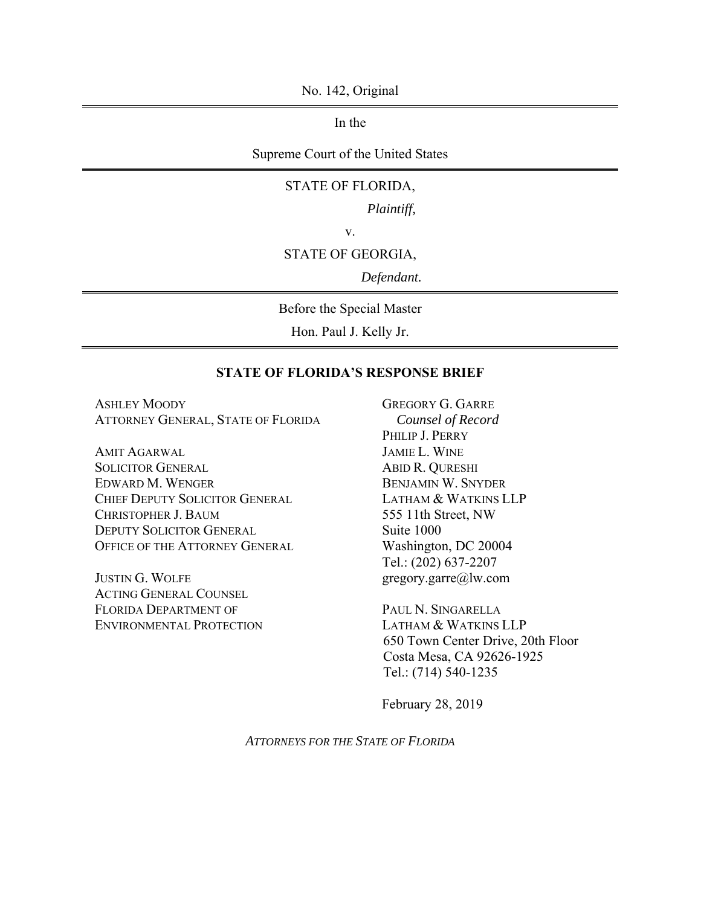No. 142, Original

In the

Supreme Court of the United States

#### STATE OF FLORIDA,

*Plaintiff,*

v.

#### STATE OF GEORGIA,

*Defendant.*

Before the Special Master

Hon. Paul J. Kelly Jr.

## **STATE OF FLORIDA'S RESPONSE BRIEF**

ASHLEY MOODY ATTORNEY GENERAL, STATE OF FLORIDA

AMIT AGARWAL SOLICITOR GENERAL EDWARD M. WENGER CHIEF DEPUTY SOLICITOR GENERAL CHRISTOPHER J. BAUM DEPUTY SOLICITOR GENERAL OFFICE OF THE ATTORNEY GENERAL

JUSTIN G. WOLFE ACTING GENERAL COUNSEL FLORIDA DEPARTMENT OF ENVIRONMENTAL PROTECTION GREGORY G. GARRE *Counsel of Record* PHILIP J. PERRY JAMIE L. WINE ABID R. QURESHI BENJAMIN W. SNYDER LATHAM & WATKINS LLP 555 11th Street, NW Suite 1000 Washington, DC 20004 Tel.: (202) 637-2207 gregory.garre@lw.com

PAUL N. SINGARELLA LATHAM & WATKINS LLP 650 Town Center Drive, 20th Floor Costa Mesa, CA 92626-1925 Tel.: (714) 540-1235

February 28, 2019

*ATTORNEYS FOR THE STATE OF FLORIDA*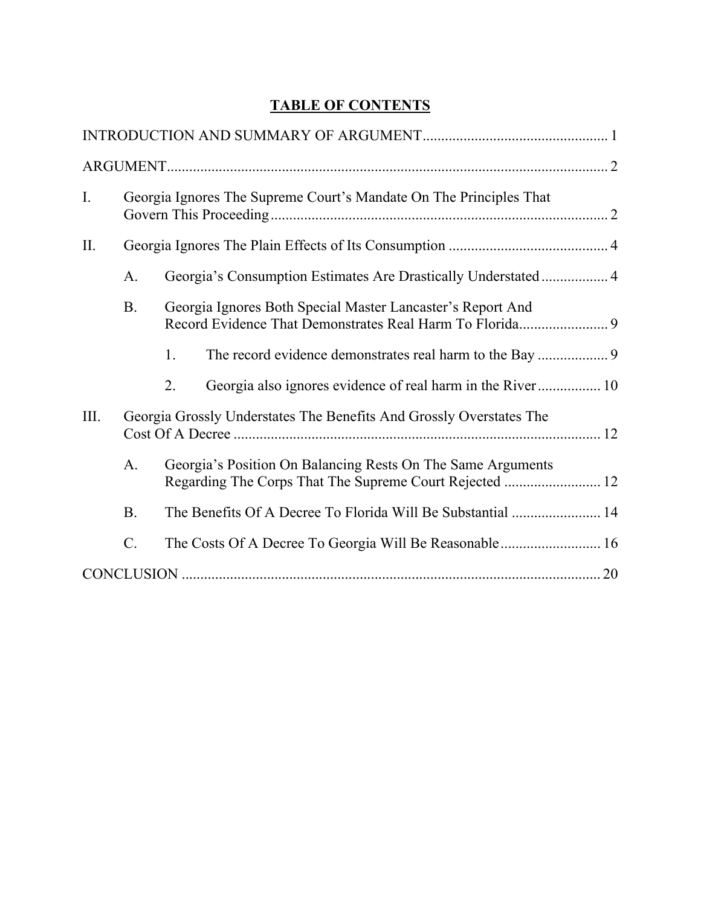# **TABLE OF CONTENTS**

| I.   |           | Georgia Ignores The Supreme Court's Mandate On The Principles That                                                     |  |
|------|-----------|------------------------------------------------------------------------------------------------------------------------|--|
| П.   |           |                                                                                                                        |  |
|      | A.        | Georgia's Consumption Estimates Are Drastically Understated 4                                                          |  |
|      | <b>B.</b> | Georgia Ignores Both Special Master Lancaster's Report And                                                             |  |
|      |           | 1.                                                                                                                     |  |
|      |           | Georgia also ignores evidence of real harm in the River 10<br>2.                                                       |  |
| III. |           | Georgia Grossly Understates The Benefits And Grossly Overstates The                                                    |  |
|      | A.        | Georgia's Position On Balancing Rests On The Same Arguments<br>Regarding The Corps That The Supreme Court Rejected  12 |  |
|      | <b>B.</b> | The Benefits Of A Decree To Florida Will Be Substantial  14                                                            |  |
|      | $C$ .     |                                                                                                                        |  |
|      |           |                                                                                                                        |  |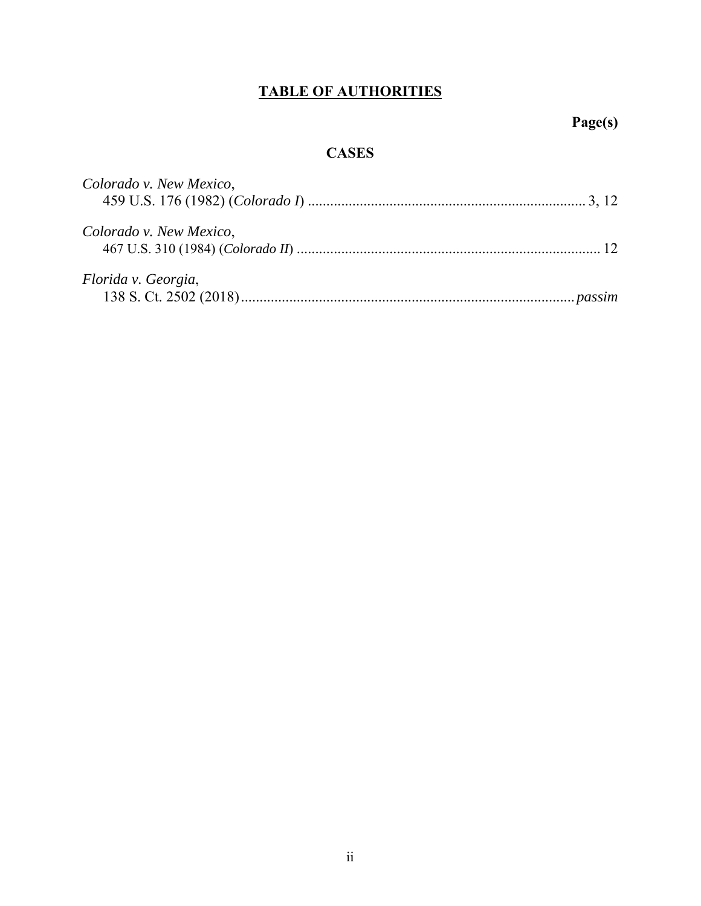# **TABLE OF AUTHORITIES**

# **Page(s)**

# **CASES**

| Colorado v. New Mexico, |  |
|-------------------------|--|
| Colorado v. New Mexico, |  |
| Florida v. Georgia,     |  |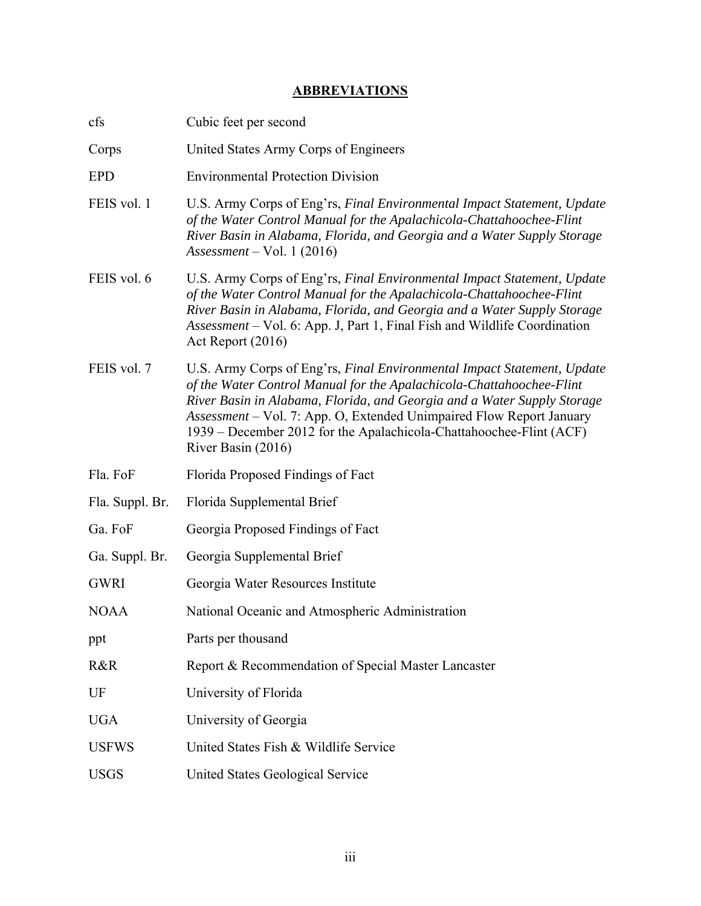## **ABBREVIATIONS**

| cfs             | Cubic feet per second                                                                                                                                                                                                                                                                                                                                                                           |
|-----------------|-------------------------------------------------------------------------------------------------------------------------------------------------------------------------------------------------------------------------------------------------------------------------------------------------------------------------------------------------------------------------------------------------|
| Corps           | United States Army Corps of Engineers                                                                                                                                                                                                                                                                                                                                                           |
| <b>EPD</b>      | <b>Environmental Protection Division</b>                                                                                                                                                                                                                                                                                                                                                        |
| FEIS vol. 1     | U.S. Army Corps of Eng'rs, Final Environmental Impact Statement, Update<br>of the Water Control Manual for the Apalachicola-Chattahoochee-Flint<br>River Basin in Alabama, Florida, and Georgia and a Water Supply Storage<br>$Assessment - Vol. 1 (2016)$                                                                                                                                      |
| FEIS vol. 6     | U.S. Army Corps of Eng'rs, Final Environmental Impact Statement, Update<br>of the Water Control Manual for the Apalachicola-Chattahoochee-Flint<br>River Basin in Alabama, Florida, and Georgia and a Water Supply Storage<br>Assessment – Vol. 6: App. J, Part 1, Final Fish and Wildlife Coordination<br>Act Report (2016)                                                                    |
| FEIS vol. 7     | U.S. Army Corps of Eng'rs, Final Environmental Impact Statement, Update<br>of the Water Control Manual for the Apalachicola-Chattahoochee-Flint<br>River Basin in Alabama, Florida, and Georgia and a Water Supply Storage<br>Assessment - Vol. 7: App. O, Extended Unimpaired Flow Report January<br>1939 – December 2012 for the Apalachicola-Chattahoochee-Flint (ACF)<br>River Basin (2016) |
| Fla. FoF        | Florida Proposed Findings of Fact                                                                                                                                                                                                                                                                                                                                                               |
| Fla. Suppl. Br. | Florida Supplemental Brief                                                                                                                                                                                                                                                                                                                                                                      |
| Ga. FoF         | Georgia Proposed Findings of Fact                                                                                                                                                                                                                                                                                                                                                               |
| Ga. Suppl. Br.  | Georgia Supplemental Brief                                                                                                                                                                                                                                                                                                                                                                      |
| <b>GWRI</b>     | Georgia Water Resources Institute                                                                                                                                                                                                                                                                                                                                                               |
| <b>NOAA</b>     | National Oceanic and Atmospheric Administration                                                                                                                                                                                                                                                                                                                                                 |
| ppt             | Parts per thousand                                                                                                                                                                                                                                                                                                                                                                              |
| R&R             | Report & Recommendation of Special Master Lancaster                                                                                                                                                                                                                                                                                                                                             |
| UF              | University of Florida                                                                                                                                                                                                                                                                                                                                                                           |
| <b>UGA</b>      | University of Georgia                                                                                                                                                                                                                                                                                                                                                                           |
| <b>USFWS</b>    | United States Fish & Wildlife Service                                                                                                                                                                                                                                                                                                                                                           |
| <b>USGS</b>     | United States Geological Service                                                                                                                                                                                                                                                                                                                                                                |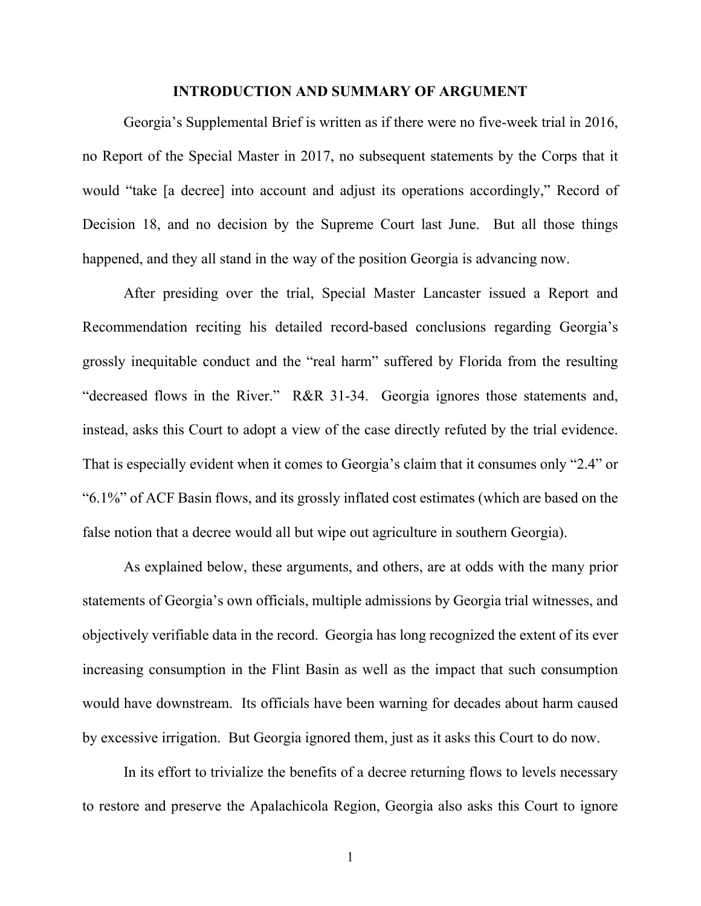### **INTRODUCTION AND SUMMARY OF ARGUMENT**

Georgia's Supplemental Brief is written as if there were no five-week trial in 2016, no Report of the Special Master in 2017, no subsequent statements by the Corps that it would "take [a decree] into account and adjust its operations accordingly," Record of Decision 18, and no decision by the Supreme Court last June. But all those things happened, and they all stand in the way of the position Georgia is advancing now.

After presiding over the trial, Special Master Lancaster issued a Report and Recommendation reciting his detailed record-based conclusions regarding Georgia's grossly inequitable conduct and the "real harm" suffered by Florida from the resulting "decreased flows in the River." R&R 31-34. Georgia ignores those statements and, instead, asks this Court to adopt a view of the case directly refuted by the trial evidence. That is especially evident when it comes to Georgia's claim that it consumes only "2.4" or "6.1%" of ACF Basin flows, and its grossly inflated cost estimates (which are based on the false notion that a decree would all but wipe out agriculture in southern Georgia).

As explained below, these arguments, and others, are at odds with the many prior statements of Georgia's own officials, multiple admissions by Georgia trial witnesses, and objectively verifiable data in the record. Georgia has long recognized the extent of its ever increasing consumption in the Flint Basin as well as the impact that such consumption would have downstream. Its officials have been warning for decades about harm caused by excessive irrigation. But Georgia ignored them, just as it asks this Court to do now.

In its effort to trivialize the benefits of a decree returning flows to levels necessary to restore and preserve the Apalachicola Region, Georgia also asks this Court to ignore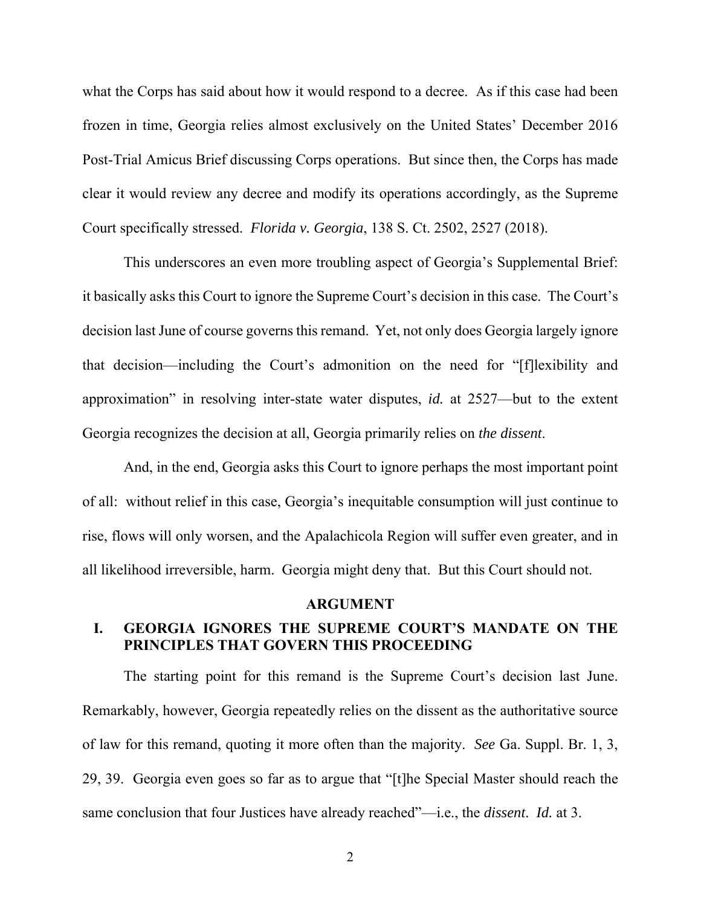what the Corps has said about how it would respond to a decree. As if this case had been frozen in time, Georgia relies almost exclusively on the United States' December 2016 Post-Trial Amicus Brief discussing Corps operations. But since then, the Corps has made clear it would review any decree and modify its operations accordingly, as the Supreme Court specifically stressed. *Florida v. Georgia*, 138 S. Ct. 2502, 2527 (2018).

This underscores an even more troubling aspect of Georgia's Supplemental Brief: it basically asks this Court to ignore the Supreme Court's decision in this case. The Court's decision last June of course governs this remand. Yet, not only does Georgia largely ignore that decision—including the Court's admonition on the need for "[f]lexibility and approximation" in resolving inter-state water disputes, *id.* at 2527—but to the extent Georgia recognizes the decision at all, Georgia primarily relies on *the dissent*.

And, in the end, Georgia asks this Court to ignore perhaps the most important point of all: without relief in this case, Georgia's inequitable consumption will just continue to rise, flows will only worsen, and the Apalachicola Region will suffer even greater, and in all likelihood irreversible, harm. Georgia might deny that. But this Court should not.

#### **ARGUMENT**

## **I. GEORGIA IGNORES THE SUPREME COURT'S MANDATE ON THE PRINCIPLES THAT GOVERN THIS PROCEEDING**

The starting point for this remand is the Supreme Court's decision last June. Remarkably, however, Georgia repeatedly relies on the dissent as the authoritative source of law for this remand, quoting it more often than the majority. *See* Ga. Suppl. Br. 1, 3, 29, 39. Georgia even goes so far as to argue that "[t]he Special Master should reach the same conclusion that four Justices have already reached"—i.e., the *dissent*. *Id.* at 3.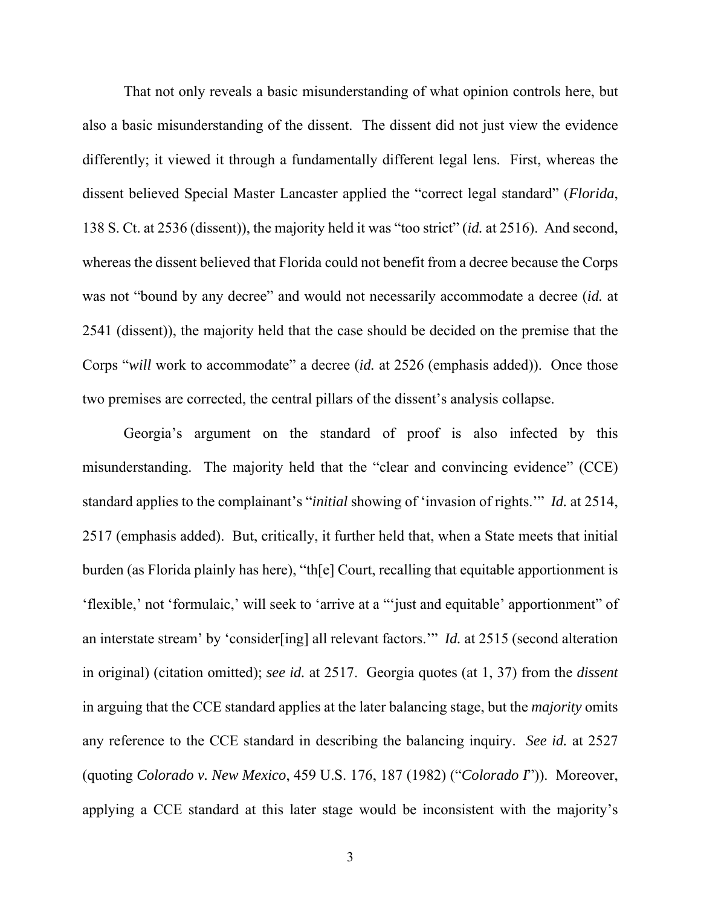That not only reveals a basic misunderstanding of what opinion controls here, but also a basic misunderstanding of the dissent. The dissent did not just view the evidence differently; it viewed it through a fundamentally different legal lens. First, whereas the dissent believed Special Master Lancaster applied the "correct legal standard" (*Florida*, 138 S. Ct. at 2536 (dissent)), the majority held it was "too strict" (*id.* at 2516). And second, whereas the dissent believed that Florida could not benefit from a decree because the Corps was not "bound by any decree" and would not necessarily accommodate a decree (*id.* at 2541 (dissent)), the majority held that the case should be decided on the premise that the Corps "*will* work to accommodate" a decree (*id.* at 2526 (emphasis added)). Once those two premises are corrected, the central pillars of the dissent's analysis collapse.

Georgia's argument on the standard of proof is also infected by this misunderstanding. The majority held that the "clear and convincing evidence" (CCE) standard applies to the complainant's "*initial* showing of 'invasion of rights.'" *Id.* at 2514, 2517 (emphasis added). But, critically, it further held that, when a State meets that initial burden (as Florida plainly has here), "th[e] Court, recalling that equitable apportionment is 'flexible,' not 'formulaic,' will seek to 'arrive at a "'just and equitable' apportionment" of an interstate stream' by 'consider[ing] all relevant factors.'" *Id.* at 2515 (second alteration in original) (citation omitted); *see id.* at 2517. Georgia quotes (at 1, 37) from the *dissent* in arguing that the CCE standard applies at the later balancing stage, but the *majority* omits any reference to the CCE standard in describing the balancing inquiry. *See id.* at 2527 (quoting *Colorado v. New Mexico*, 459 U.S. 176, 187 (1982) ("*Colorado I*")). Moreover, applying a CCE standard at this later stage would be inconsistent with the majority's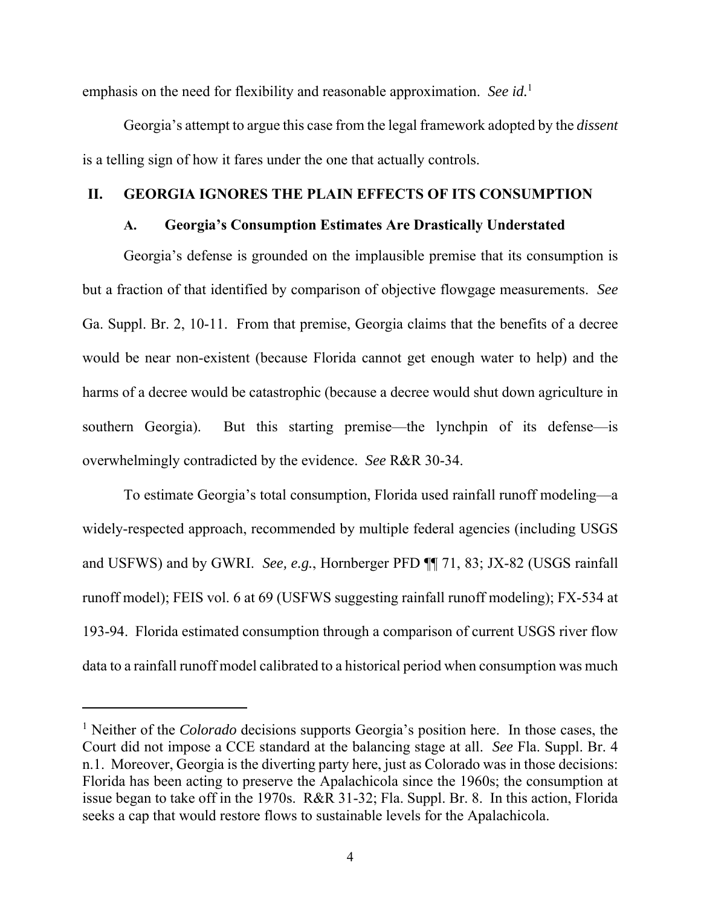emphasis on the need for flexibility and reasonable approximation. *See id.*<sup>1</sup>

Georgia's attempt to argue this case from the legal framework adopted by the *dissent* is a telling sign of how it fares under the one that actually controls.

### **II. GEORGIA IGNORES THE PLAIN EFFECTS OF ITS CONSUMPTION**

## **A. Georgia's Consumption Estimates Are Drastically Understated**

Georgia's defense is grounded on the implausible premise that its consumption is but a fraction of that identified by comparison of objective flowgage measurements. *See*  Ga. Suppl. Br. 2, 10-11. From that premise, Georgia claims that the benefits of a decree would be near non-existent (because Florida cannot get enough water to help) and the harms of a decree would be catastrophic (because a decree would shut down agriculture in southern Georgia). But this starting premise—the lynchpin of its defense—is overwhelmingly contradicted by the evidence. *See* R&R 30-34.

To estimate Georgia's total consumption, Florida used rainfall runoff modeling—a widely-respected approach, recommended by multiple federal agencies (including USGS and USFWS) and by GWRI. *See, e.g.*, Hornberger PFD ¶¶ 71, 83; JX-82 (USGS rainfall runoff model); FEIS vol. 6 at 69 (USFWS suggesting rainfall runoff modeling); FX-534 at 193-94. Florida estimated consumption through a comparison of current USGS river flow data to a rainfall runoff model calibrated to a historical period when consumption was much

<sup>&</sup>lt;sup>1</sup> Neither of the *Colorado* decisions supports Georgia's position here. In those cases, the Court did not impose a CCE standard at the balancing stage at all. *See* Fla. Suppl. Br. 4 n.1. Moreover, Georgia is the diverting party here, just as Colorado was in those decisions: Florida has been acting to preserve the Apalachicola since the 1960s; the consumption at issue began to take off in the 1970s. R&R 31-32; Fla. Suppl. Br. 8. In this action, Florida seeks a cap that would restore flows to sustainable levels for the Apalachicola.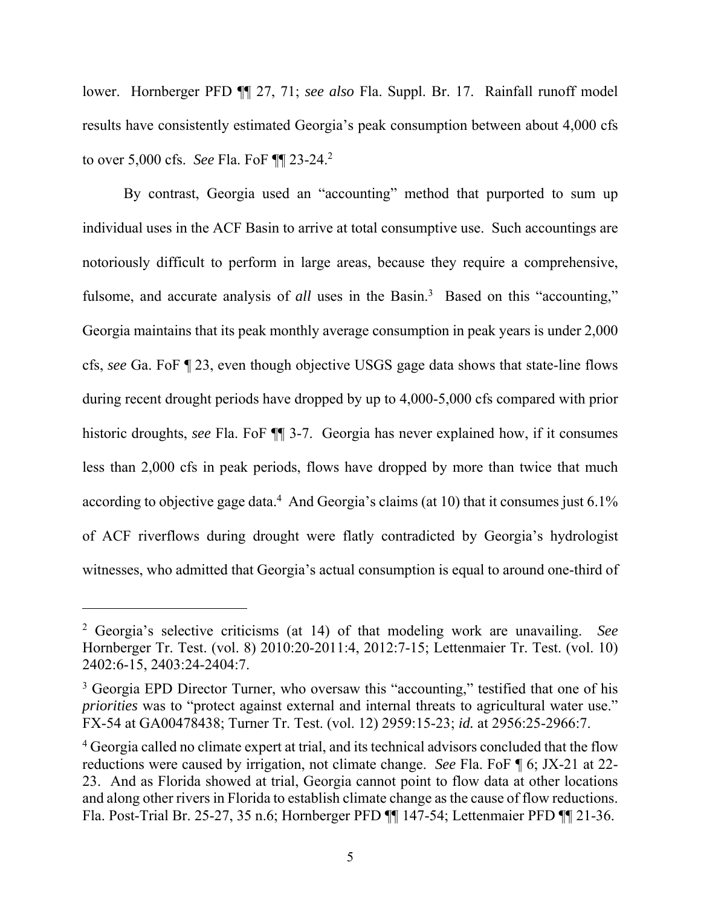lower. Hornberger PFD ¶¶ 27, 71; *see also* Fla. Suppl. Br. 17. Rainfall runoff model results have consistently estimated Georgia's peak consumption between about 4,000 cfs to over 5,000 cfs. *See* Fla. FoF ¶¶ 23-24.2

By contrast, Georgia used an "accounting" method that purported to sum up individual uses in the ACF Basin to arrive at total consumptive use. Such accountings are notoriously difficult to perform in large areas, because they require a comprehensive, fulsome, and accurate analysis of *all* uses in the Basin.<sup>3</sup> Based on this "accounting," Georgia maintains that its peak monthly average consumption in peak years is under 2,000 cfs, *see* Ga. FoF ¶ 23, even though objective USGS gage data shows that state-line flows during recent drought periods have dropped by up to 4,000-5,000 cfs compared with prior historic droughts, *see* Fla. FoF ¶¶ 3-7. Georgia has never explained how, if it consumes less than 2,000 cfs in peak periods, flows have dropped by more than twice that much according to objective gage data.<sup>4</sup> And Georgia's claims (at 10) that it consumes just  $6.1\%$ of ACF riverflows during drought were flatly contradicted by Georgia's hydrologist witnesses, who admitted that Georgia's actual consumption is equal to around one-third of

<sup>2</sup> Georgia's selective criticisms (at 14) of that modeling work are unavailing. *See* Hornberger Tr. Test. (vol. 8) 2010:20-2011:4, 2012:7-15; Lettenmaier Tr. Test. (vol. 10) 2402:6-15, 2403:24-2404:7.

<sup>&</sup>lt;sup>3</sup> Georgia EPD Director Turner, who oversaw this "accounting," testified that one of his *priorities* was to "protect against external and internal threats to agricultural water use." FX-54 at GA00478438; Turner Tr. Test. (vol. 12) 2959:15-23; *id.* at 2956:25-2966:7.

<sup>&</sup>lt;sup>4</sup> Georgia called no climate expert at trial, and its technical advisors concluded that the flow reductions were caused by irrigation, not climate change. *See* Fla. FoF ¶ 6; JX-21 at 22- 23. And as Florida showed at trial, Georgia cannot point to flow data at other locations and along other rivers in Florida to establish climate change as the cause of flow reductions. Fla. Post-Trial Br. 25-27, 35 n.6; Hornberger PFD ¶¶ 147-54; Lettenmaier PFD ¶¶ 21-36.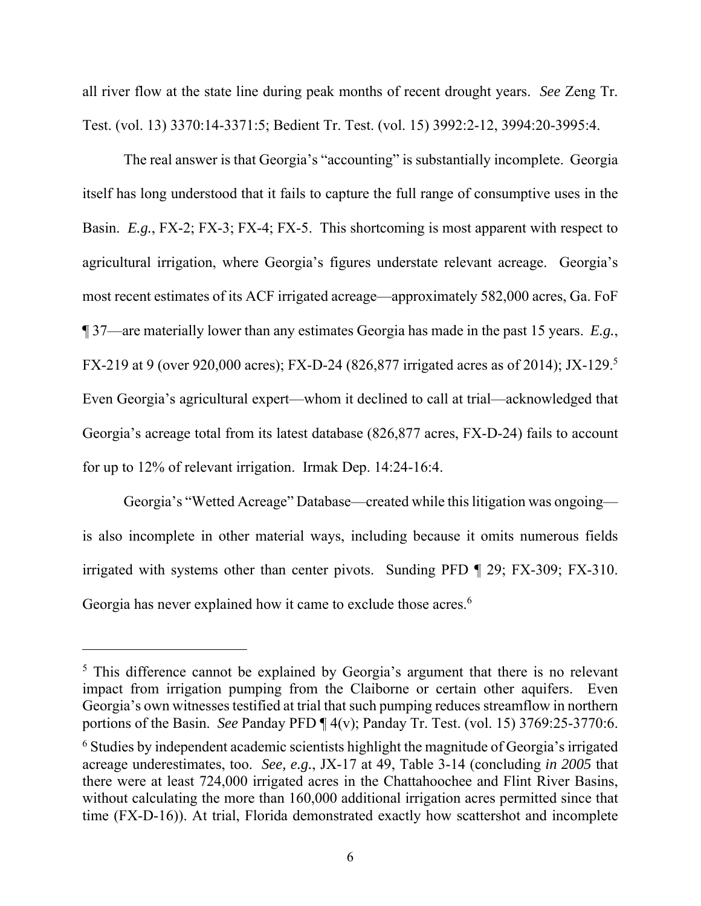all river flow at the state line during peak months of recent drought years. *See* Zeng Tr. Test. (vol. 13) 3370:14-3371:5; Bedient Tr. Test. (vol. 15) 3992:2-12, 3994:20-3995:4.

The real answer is that Georgia's "accounting" is substantially incomplete. Georgia itself has long understood that it fails to capture the full range of consumptive uses in the Basin. *E.g.*, FX-2; FX-3; FX-4; FX-5. This shortcoming is most apparent with respect to agricultural irrigation, where Georgia's figures understate relevant acreage. Georgia's most recent estimates of its ACF irrigated acreage—approximately 582,000 acres, Ga. FoF ¶ 37—are materially lower than any estimates Georgia has made in the past 15 years. *E.g.*, FX-219 at 9 (over 920,000 acres); FX-D-24 (826,877 irrigated acres as of 2014); JX-129.<sup>5</sup> Even Georgia's agricultural expert—whom it declined to call at trial—acknowledged that Georgia's acreage total from its latest database (826,877 acres, FX-D-24) fails to account for up to 12% of relevant irrigation. Irmak Dep. 14:24-16:4.

Georgia's "Wetted Acreage" Database—created while this litigation was ongoing is also incomplete in other material ways, including because it omits numerous fields irrigated with systems other than center pivots. Sunding PFD ¶ 29; FX-309; FX-310. Georgia has never explained how it came to exclude those acres.<sup>6</sup>

<sup>&</sup>lt;sup>5</sup> This difference cannot be explained by Georgia's argument that there is no relevant impact from irrigation pumping from the Claiborne or certain other aquifers. Even Georgia's own witnesses testified at trial that such pumping reduces streamflow in northern portions of the Basin. *See* Panday PFD ¶ 4(v); Panday Tr. Test. (vol. 15) 3769:25-3770:6.

<sup>&</sup>lt;sup>6</sup> Studies by independent academic scientists highlight the magnitude of Georgia's irrigated acreage underestimates, too. *See, e.g.*, JX-17 at 49, Table 3-14 (concluding *in 2005* that there were at least 724,000 irrigated acres in the Chattahoochee and Flint River Basins, without calculating the more than 160,000 additional irrigation acres permitted since that time (FX-D-16)). At trial, Florida demonstrated exactly how scattershot and incomplete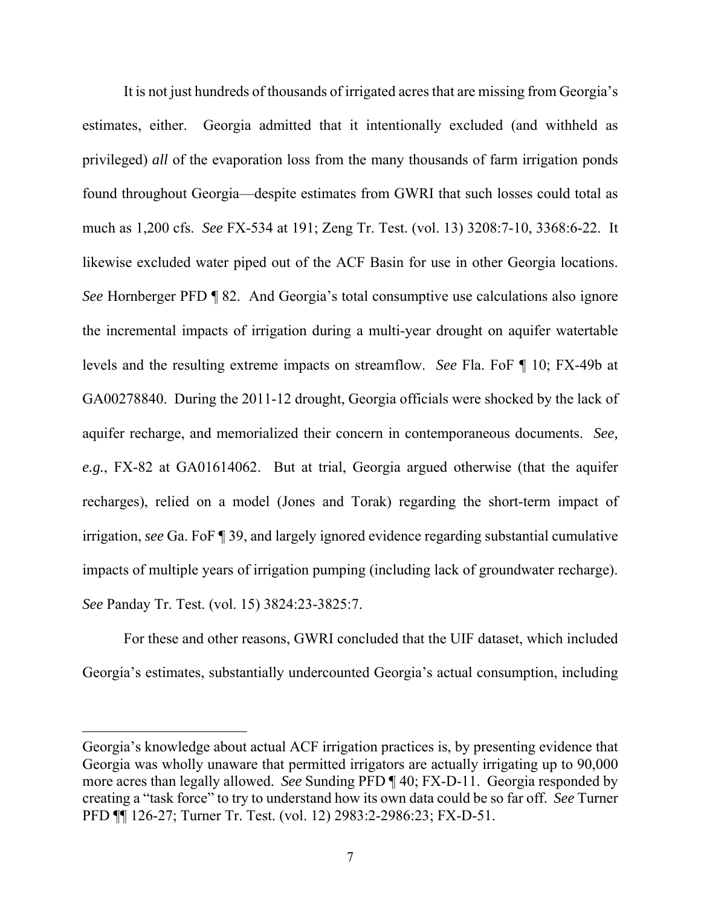It is not just hundreds of thousands of irrigated acres that are missing from Georgia's estimates, either. Georgia admitted that it intentionally excluded (and withheld as privileged) *all* of the evaporation loss from the many thousands of farm irrigation ponds found throughout Georgia—despite estimates from GWRI that such losses could total as much as 1,200 cfs. *See* FX-534 at 191; Zeng Tr. Test. (vol. 13) 3208:7-10, 3368:6-22. It likewise excluded water piped out of the ACF Basin for use in other Georgia locations. *See* Hornberger PFD ¶ 82. And Georgia's total consumptive use calculations also ignore the incremental impacts of irrigation during a multi-year drought on aquifer watertable levels and the resulting extreme impacts on streamflow. *See* Fla. FoF ¶ 10; FX-49b at GA00278840. During the 2011-12 drought, Georgia officials were shocked by the lack of aquifer recharge, and memorialized their concern in contemporaneous documents. *See, e.g.*, FX-82 at GA01614062. But at trial, Georgia argued otherwise (that the aquifer recharges), relied on a model (Jones and Torak) regarding the short-term impact of irrigation, *see* Ga. FoF ¶ 39, and largely ignored evidence regarding substantial cumulative impacts of multiple years of irrigation pumping (including lack of groundwater recharge). *See* Panday Tr. Test. (vol. 15) 3824:23-3825:7.

For these and other reasons, GWRI concluded that the UIF dataset, which included Georgia's estimates, substantially undercounted Georgia's actual consumption, including

Georgia's knowledge about actual ACF irrigation practices is, by presenting evidence that Georgia was wholly unaware that permitted irrigators are actually irrigating up to 90,000 more acres than legally allowed. *See* Sunding PFD ¶ 40; FX-D-11. Georgia responded by creating a "task force" to try to understand how its own data could be so far off. *See* Turner PFD ¶¶ 126-27; Turner Tr. Test. (vol. 12) 2983:2-2986:23; FX-D-51.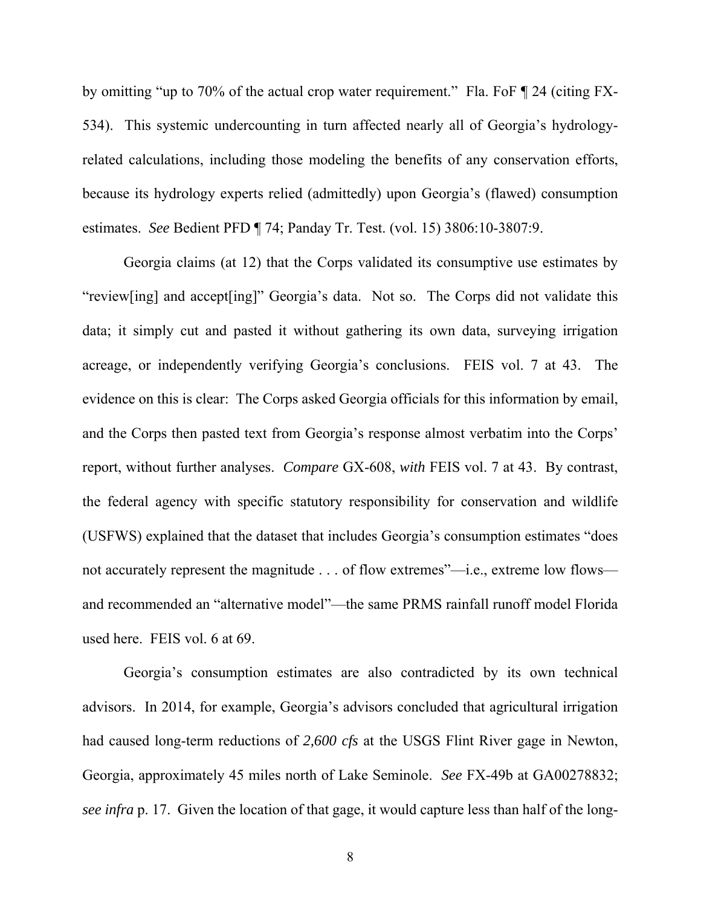by omitting "up to 70% of the actual crop water requirement." Fla. FoF ¶ 24 (citing FX-534). This systemic undercounting in turn affected nearly all of Georgia's hydrologyrelated calculations, including those modeling the benefits of any conservation efforts, because its hydrology experts relied (admittedly) upon Georgia's (flawed) consumption estimates. *See* Bedient PFD ¶ 74; Panday Tr. Test. (vol. 15) 3806:10-3807:9.

Georgia claims (at 12) that the Corps validated its consumptive use estimates by "review[ing] and accept[ing]" Georgia's data. Not so. The Corps did not validate this data; it simply cut and pasted it without gathering its own data, surveying irrigation acreage, or independently verifying Georgia's conclusions. FEIS vol. 7 at 43. The evidence on this is clear: The Corps asked Georgia officials for this information by email, and the Corps then pasted text from Georgia's response almost verbatim into the Corps' report, without further analyses. *Compare* GX-608, *with* FEIS vol. 7 at 43. By contrast, the federal agency with specific statutory responsibility for conservation and wildlife (USFWS) explained that the dataset that includes Georgia's consumption estimates "does not accurately represent the magnitude . . . of flow extremes"—i.e., extreme low flows and recommended an "alternative model"—the same PRMS rainfall runoff model Florida used here. FEIS vol. 6 at 69.

Georgia's consumption estimates are also contradicted by its own technical advisors. In 2014, for example, Georgia's advisors concluded that agricultural irrigation had caused long-term reductions of *2,600 cfs* at the USGS Flint River gage in Newton, Georgia, approximately 45 miles north of Lake Seminole. *See* FX-49b at GA00278832; *see infra* p. 17. Given the location of that gage, it would capture less than half of the long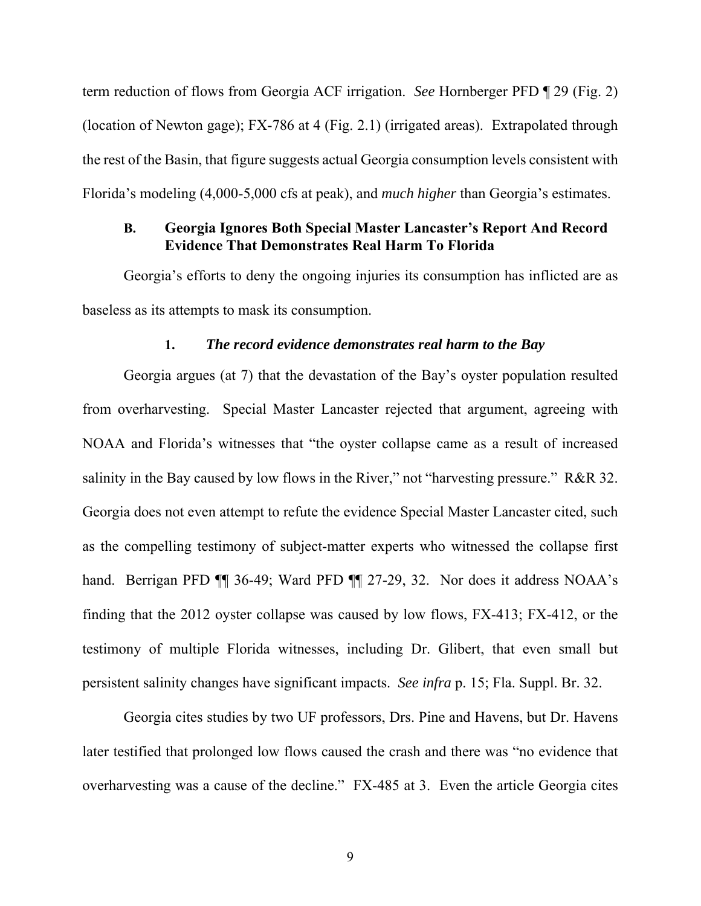term reduction of flows from Georgia ACF irrigation. *See* Hornberger PFD ¶ 29 (Fig. 2) (location of Newton gage); FX-786 at 4 (Fig. 2.1) (irrigated areas). Extrapolated through the rest of the Basin, that figure suggests actual Georgia consumption levels consistent with Florida's modeling (4,000-5,000 cfs at peak), and *much higher* than Georgia's estimates.

## **B. Georgia Ignores Both Special Master Lancaster's Report And Record Evidence That Demonstrates Real Harm To Florida**

Georgia's efforts to deny the ongoing injuries its consumption has inflicted are as baseless as its attempts to mask its consumption.

#### **1.** *The record evidence demonstrates real harm to the Bay*

Georgia argues (at 7) that the devastation of the Bay's oyster population resulted from overharvesting. Special Master Lancaster rejected that argument, agreeing with NOAA and Florida's witnesses that "the oyster collapse came as a result of increased salinity in the Bay caused by low flows in the River," not "harvesting pressure." R&R 32. Georgia does not even attempt to refute the evidence Special Master Lancaster cited, such as the compelling testimony of subject-matter experts who witnessed the collapse first hand. Berrigan PFD  $\P$  36-49; Ward PFD  $\P$  27-29, 32. Nor does it address NOAA's finding that the 2012 oyster collapse was caused by low flows, FX-413; FX-412, or the testimony of multiple Florida witnesses, including Dr. Glibert, that even small but persistent salinity changes have significant impacts. *See infra* p. 15; Fla. Suppl. Br. 32.

Georgia cites studies by two UF professors, Drs. Pine and Havens, but Dr. Havens later testified that prolonged low flows caused the crash and there was "no evidence that overharvesting was a cause of the decline." FX-485 at 3. Even the article Georgia cites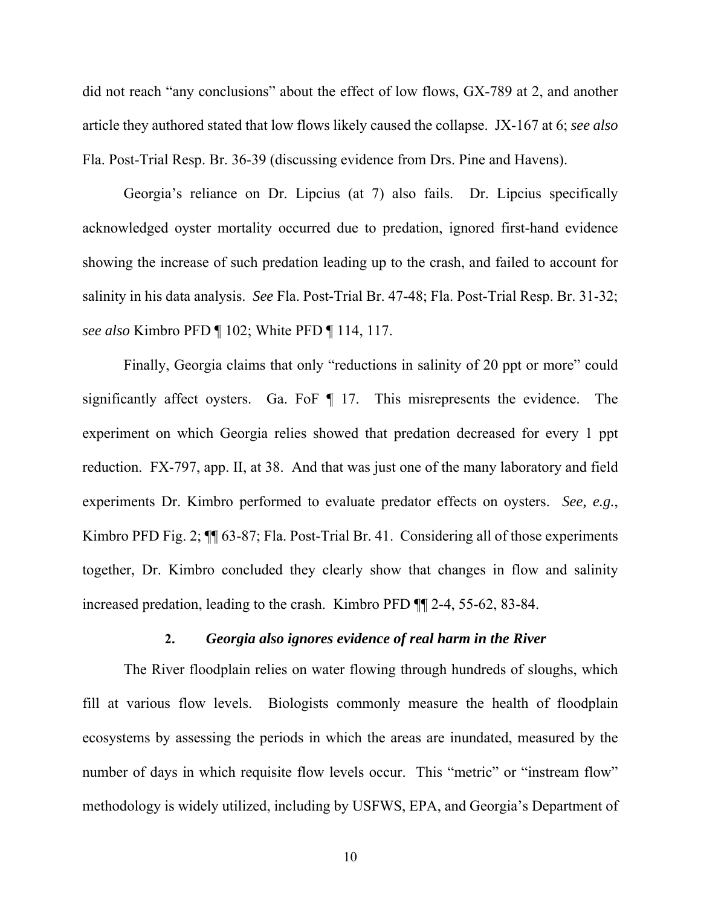did not reach "any conclusions" about the effect of low flows, GX-789 at 2, and another article they authored stated that low flows likely caused the collapse. JX-167 at 6; *see also*  Fla. Post-Trial Resp. Br. 36-39 (discussing evidence from Drs. Pine and Havens).

Georgia's reliance on Dr. Lipcius (at 7) also fails. Dr. Lipcius specifically acknowledged oyster mortality occurred due to predation, ignored first-hand evidence showing the increase of such predation leading up to the crash, and failed to account for salinity in his data analysis. *See* Fla. Post-Trial Br. 47-48; Fla. Post-Trial Resp. Br. 31-32; *see also* Kimbro PFD ¶ 102; White PFD ¶ 114, 117.

Finally, Georgia claims that only "reductions in salinity of 20 ppt or more" could significantly affect oysters. Ga. FoF ¶ 17. This misrepresents the evidence. The experiment on which Georgia relies showed that predation decreased for every 1 ppt reduction. FX-797, app. II, at 38. And that was just one of the many laboratory and field experiments Dr. Kimbro performed to evaluate predator effects on oysters. *See, e.g.*, Kimbro PFD Fig. 2;  $\P$  63-87; Fla. Post-Trial Br. 41. Considering all of those experiments together, Dr. Kimbro concluded they clearly show that changes in flow and salinity increased predation, leading to the crash. Kimbro PFD ¶¶ 2-4, 55-62, 83-84.

#### **2.** *Georgia also ignores evidence of real harm in the River*

The River floodplain relies on water flowing through hundreds of sloughs, which fill at various flow levels. Biologists commonly measure the health of floodplain ecosystems by assessing the periods in which the areas are inundated, measured by the number of days in which requisite flow levels occur. This "metric" or "instream flow" methodology is widely utilized, including by USFWS, EPA, and Georgia's Department of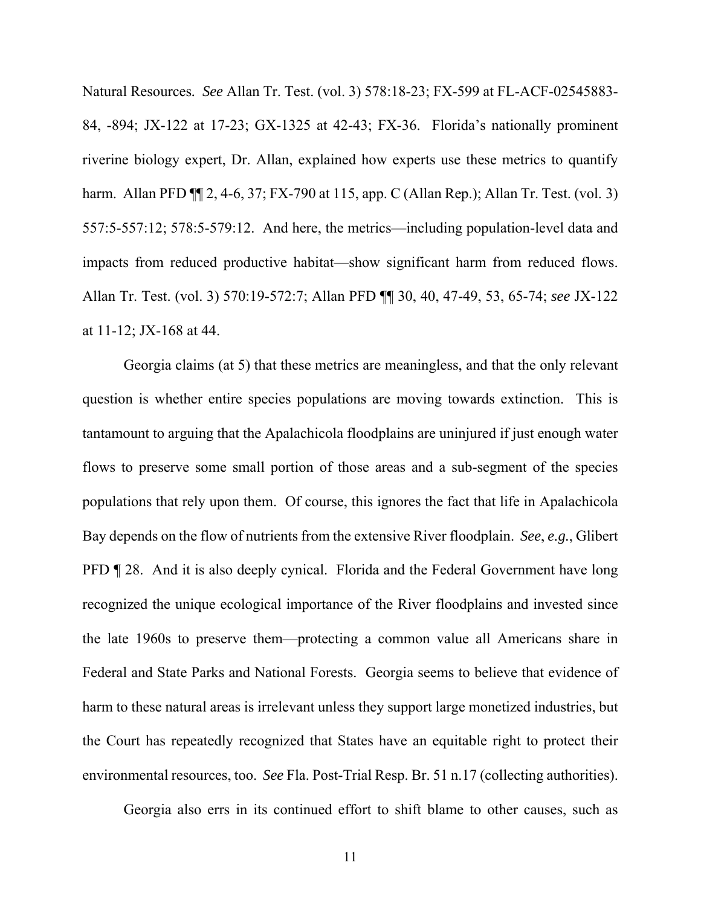Natural Resources*. See* Allan Tr. Test. (vol. 3) 578:18-23; FX-599 at FL-ACF-02545883- 84, -894; JX-122 at 17-23; GX-1325 at 42-43; FX-36. Florida's nationally prominent riverine biology expert, Dr. Allan, explained how experts use these metrics to quantify harm. Allan PFD ¶¶ 2, 4-6, 37; FX-790 at 115, app. C (Allan Rep.); Allan Tr. Test. (vol. 3) 557:5-557:12; 578:5-579:12. And here, the metrics—including population-level data and impacts from reduced productive habitat—show significant harm from reduced flows. Allan Tr. Test. (vol. 3) 570:19-572:7; Allan PFD ¶¶ 30, 40, 47-49, 53, 65-74; *see* JX-122 at 11-12; JX-168 at 44.

Georgia claims (at 5) that these metrics are meaningless, and that the only relevant question is whether entire species populations are moving towards extinction. This is tantamount to arguing that the Apalachicola floodplains are uninjured if just enough water flows to preserve some small portion of those areas and a sub-segment of the species populations that rely upon them. Of course, this ignores the fact that life in Apalachicola Bay depends on the flow of nutrients from the extensive River floodplain. *See*, *e.g.*, Glibert PFD ¶ 28. And it is also deeply cynical. Florida and the Federal Government have long recognized the unique ecological importance of the River floodplains and invested since the late 1960s to preserve them—protecting a common value all Americans share in Federal and State Parks and National Forests. Georgia seems to believe that evidence of harm to these natural areas is irrelevant unless they support large monetized industries, but the Court has repeatedly recognized that States have an equitable right to protect their environmental resources, too. *See* Fla. Post-Trial Resp. Br. 51 n.17 (collecting authorities).

Georgia also errs in its continued effort to shift blame to other causes, such as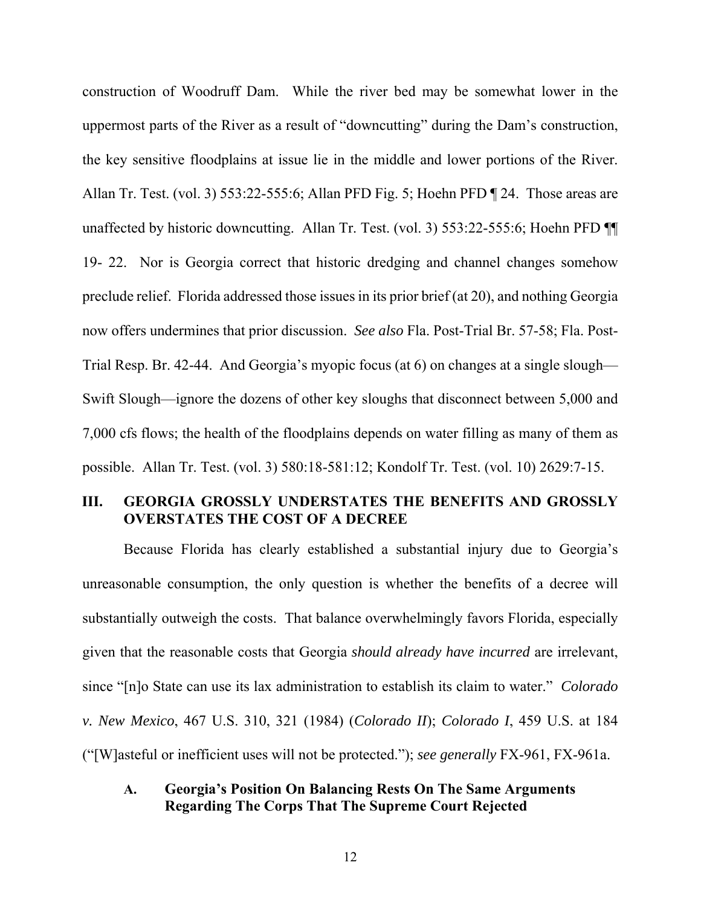construction of Woodruff Dam. While the river bed may be somewhat lower in the uppermost parts of the River as a result of "downcutting" during the Dam's construction, the key sensitive floodplains at issue lie in the middle and lower portions of the River. Allan Tr. Test. (vol. 3) 553:22-555:6; Allan PFD Fig. 5; Hoehn PFD ¶ 24. Those areas are unaffected by historic downcutting. Allan Tr. Test. (vol. 3) 553:22-555:6; Hoehn PFD ¶¶ 19- 22. Nor is Georgia correct that historic dredging and channel changes somehow preclude relief. Florida addressed those issues in its prior brief (at 20), and nothing Georgia now offers undermines that prior discussion. *See also* Fla. Post-Trial Br. 57-58; Fla. Post-Trial Resp. Br. 42-44. And Georgia's myopic focus (at 6) on changes at a single slough— Swift Slough—ignore the dozens of other key sloughs that disconnect between 5,000 and 7,000 cfs flows; the health of the floodplains depends on water filling as many of them as possible. Allan Tr. Test. (vol. 3) 580:18-581:12; Kondolf Tr. Test. (vol. 10) 2629:7-15.

## **III. GEORGIA GROSSLY UNDERSTATES THE BENEFITS AND GROSSLY OVERSTATES THE COST OF A DECREE**

Because Florida has clearly established a substantial injury due to Georgia's unreasonable consumption, the only question is whether the benefits of a decree will substantially outweigh the costs. That balance overwhelmingly favors Florida, especially given that the reasonable costs that Georgia *should already have incurred* are irrelevant, since "[n]o State can use its lax administration to establish its claim to water." *Colorado v. New Mexico*, 467 U.S. 310, 321 (1984) (*Colorado II*); *Colorado I*, 459 U.S. at 184 ("[W]asteful or inefficient uses will not be protected."); *see generally* FX-961, FX-961a.

## **A. Georgia's Position On Balancing Rests On The Same Arguments Regarding The Corps That The Supreme Court Rejected**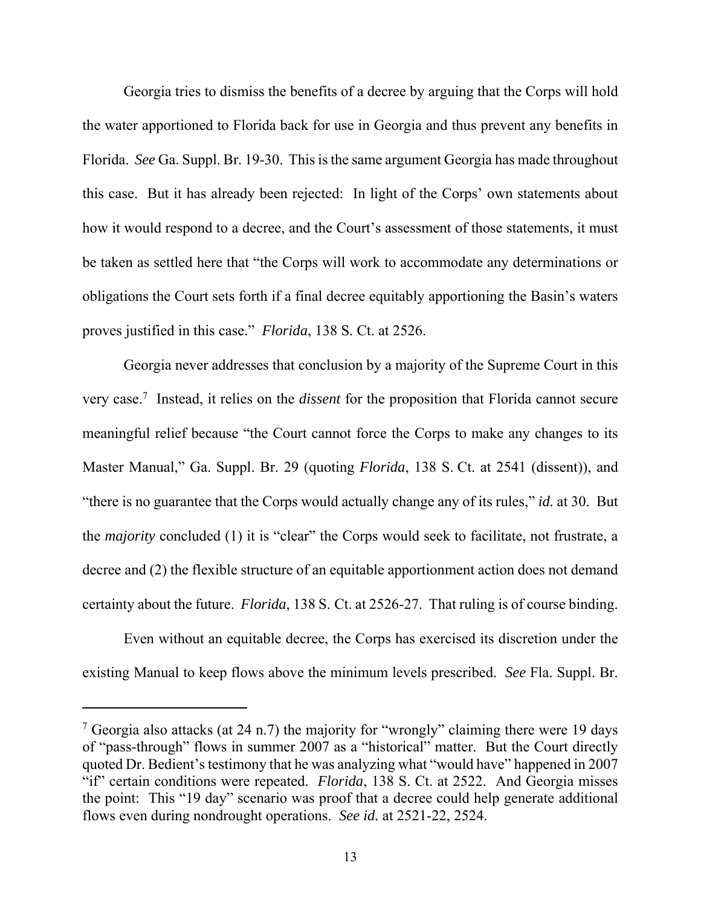Georgia tries to dismiss the benefits of a decree by arguing that the Corps will hold the water apportioned to Florida back for use in Georgia and thus prevent any benefits in Florida. *See* Ga. Suppl. Br. 19-30. This is the same argument Georgia has made throughout this case. But it has already been rejected: In light of the Corps' own statements about how it would respond to a decree, and the Court's assessment of those statements, it must be taken as settled here that "the Corps will work to accommodate any determinations or obligations the Court sets forth if a final decree equitably apportioning the Basin's waters proves justified in this case." *Florida*, 138 S. Ct. at 2526.

Georgia never addresses that conclusion by a majority of the Supreme Court in this very case.7 Instead, it relies on the *dissent* for the proposition that Florida cannot secure meaningful relief because "the Court cannot force the Corps to make any changes to its Master Manual," Ga. Suppl. Br. 29 (quoting *Florida*, 138 S. Ct. at 2541 (dissent)), and "there is no guarantee that the Corps would actually change any of its rules," *id.* at 30. But the *majority* concluded (1) it is "clear" the Corps would seek to facilitate, not frustrate, a decree and (2) the flexible structure of an equitable apportionment action does not demand certainty about the future. *Florida*, 138 S. Ct. at 2526-27. That ruling is of course binding.

Even without an equitable decree, the Corps has exercised its discretion under the existing Manual to keep flows above the minimum levels prescribed. *See* Fla. Suppl. Br.

<sup>&</sup>lt;sup>7</sup> Georgia also attacks (at 24 n.7) the majority for "wrongly" claiming there were 19 days of "pass-through" flows in summer 2007 as a "historical" matter. But the Court directly quoted Dr. Bedient's testimony that he was analyzing what "would have" happened in 2007 "if" certain conditions were repeated. *Florida*, 138 S. Ct. at 2522. And Georgia misses the point: This "19 day" scenario was proof that a decree could help generate additional flows even during nondrought operations. *See id.* at 2521-22, 2524.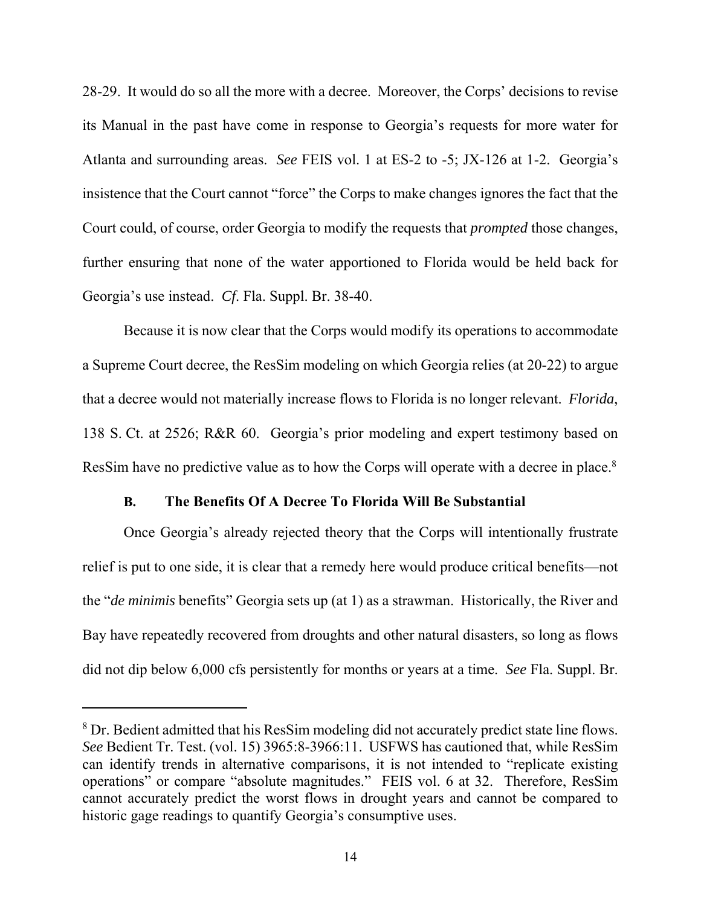28-29. It would do so all the more with a decree. Moreover, the Corps' decisions to revise its Manual in the past have come in response to Georgia's requests for more water for Atlanta and surrounding areas. *See* FEIS vol. 1 at ES-2 to -5; JX-126 at 1-2. Georgia's insistence that the Court cannot "force" the Corps to make changes ignores the fact that the Court could, of course, order Georgia to modify the requests that *prompted* those changes, further ensuring that none of the water apportioned to Florida would be held back for Georgia's use instead. *Cf*. Fla. Suppl. Br. 38-40.

Because it is now clear that the Corps would modify its operations to accommodate a Supreme Court decree, the ResSim modeling on which Georgia relies (at 20-22) to argue that a decree would not materially increase flows to Florida is no longer relevant. *Florida*, 138 S. Ct. at 2526; R&R 60. Georgia's prior modeling and expert testimony based on ResSim have no predictive value as to how the Corps will operate with a decree in place.8 

### **B. The Benefits Of A Decree To Florida Will Be Substantial**

Once Georgia's already rejected theory that the Corps will intentionally frustrate relief is put to one side, it is clear that a remedy here would produce critical benefits—not the "*de minimis* benefits" Georgia sets up (at 1) as a strawman. Historically, the River and Bay have repeatedly recovered from droughts and other natural disasters, so long as flows did not dip below 6,000 cfs persistently for months or years at a time. *See* Fla. Suppl. Br.

 $8$  Dr. Bedient admitted that his ResSim modeling did not accurately predict state line flows. *See* Bedient Tr. Test. (vol. 15) 3965:8-3966:11. USFWS has cautioned that, while ResSim can identify trends in alternative comparisons, it is not intended to "replicate existing operations" or compare "absolute magnitudes." FEIS vol. 6 at 32. Therefore, ResSim cannot accurately predict the worst flows in drought years and cannot be compared to historic gage readings to quantify Georgia's consumptive uses.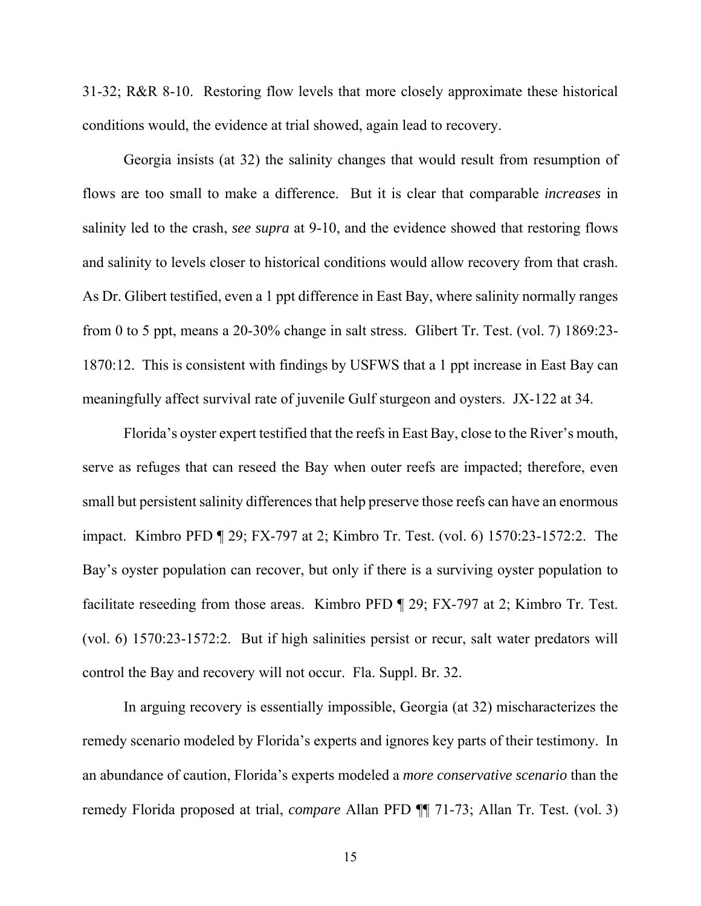31-32; R&R 8-10. Restoring flow levels that more closely approximate these historical conditions would, the evidence at trial showed, again lead to recovery.

Georgia insists (at 32) the salinity changes that would result from resumption of flows are too small to make a difference. But it is clear that comparable *increases* in salinity led to the crash, *see supra* at 9-10, and the evidence showed that restoring flows and salinity to levels closer to historical conditions would allow recovery from that crash. As Dr. Glibert testified, even a 1 ppt difference in East Bay, where salinity normally ranges from 0 to 5 ppt, means a 20-30% change in salt stress. Glibert Tr. Test. (vol. 7) 1869:23- 1870:12. This is consistent with findings by USFWS that a 1 ppt increase in East Bay can meaningfully affect survival rate of juvenile Gulf sturgeon and oysters. JX-122 at 34.

Florida's oyster expert testified that the reefs in East Bay, close to the River's mouth, serve as refuges that can reseed the Bay when outer reefs are impacted; therefore, even small but persistent salinity differences that help preserve those reefs can have an enormous impact. Kimbro PFD ¶ 29; FX-797 at 2; Kimbro Tr. Test. (vol. 6) 1570:23-1572:2. The Bay's oyster population can recover, but only if there is a surviving oyster population to facilitate reseeding from those areas. Kimbro PFD ¶ 29; FX-797 at 2; Kimbro Tr. Test. (vol. 6) 1570:23-1572:2. But if high salinities persist or recur, salt water predators will control the Bay and recovery will not occur. Fla. Suppl. Br. 32.

In arguing recovery is essentially impossible, Georgia (at 32) mischaracterizes the remedy scenario modeled by Florida's experts and ignores key parts of their testimony. In an abundance of caution, Florida's experts modeled a *more conservative scenario* than the remedy Florida proposed at trial, *compare* Allan PFD ¶¶ 71-73; Allan Tr. Test. (vol. 3)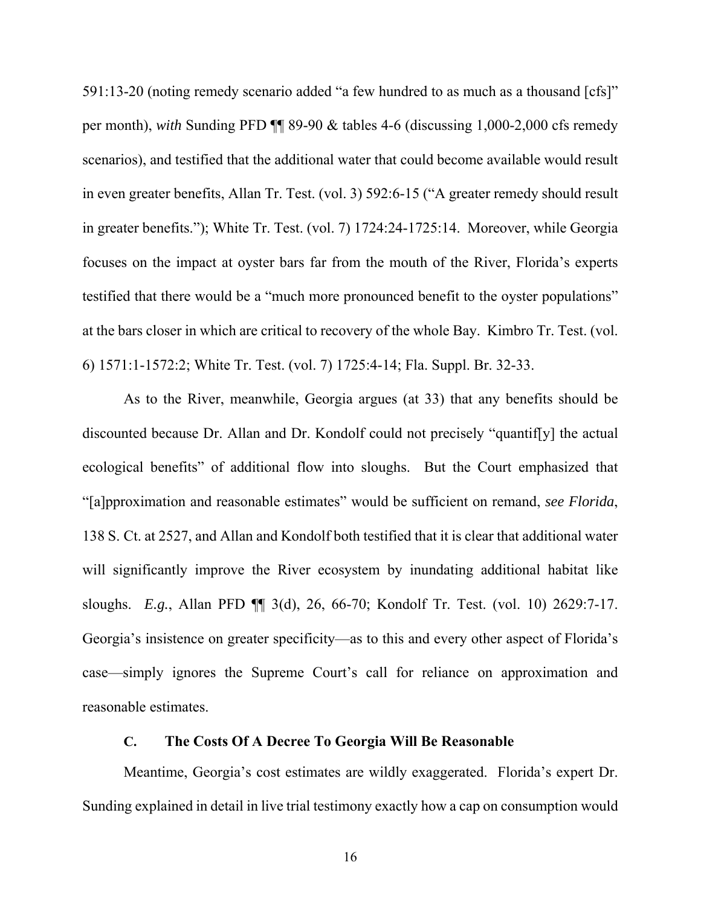591:13-20 (noting remedy scenario added "a few hundred to as much as a thousand [cfs]" per month), *with* Sunding PFD ¶¶ 89-90 & tables 4-6 (discussing 1,000-2,000 cfs remedy scenarios), and testified that the additional water that could become available would result in even greater benefits, Allan Tr. Test. (vol. 3) 592:6-15 ("A greater remedy should result in greater benefits."); White Tr. Test. (vol. 7) 1724:24-1725:14. Moreover, while Georgia focuses on the impact at oyster bars far from the mouth of the River, Florida's experts testified that there would be a "much more pronounced benefit to the oyster populations" at the bars closer in which are critical to recovery of the whole Bay. Kimbro Tr. Test. (vol. 6) 1571:1-1572:2; White Tr. Test. (vol. 7) 1725:4-14; Fla. Suppl. Br. 32-33.

As to the River, meanwhile, Georgia argues (at 33) that any benefits should be discounted because Dr. Allan and Dr. Kondolf could not precisely "quantif[y] the actual ecological benefits" of additional flow into sloughs. But the Court emphasized that "[a]pproximation and reasonable estimates" would be sufficient on remand, *see Florida*, 138 S. Ct. at 2527, and Allan and Kondolf both testified that it is clear that additional water will significantly improve the River ecosystem by inundating additional habitat like sloughs. *E.g.*, Allan PFD ¶¶ 3(d), 26, 66-70; Kondolf Tr. Test. (vol. 10) 2629:7-17. Georgia's insistence on greater specificity—as to this and every other aspect of Florida's case—simply ignores the Supreme Court's call for reliance on approximation and reasonable estimates.

### **C. The Costs Of A Decree To Georgia Will Be Reasonable**

Meantime, Georgia's cost estimates are wildly exaggerated. Florida's expert Dr. Sunding explained in detail in live trial testimony exactly how a cap on consumption would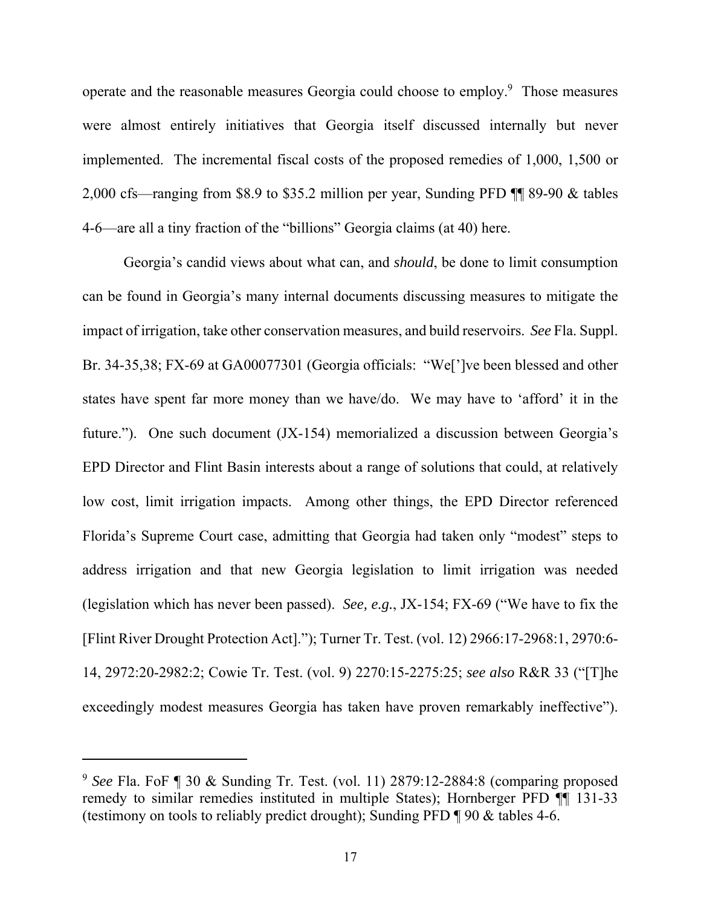operate and the reasonable measures Georgia could choose to employ.<sup>9</sup> Those measures were almost entirely initiatives that Georgia itself discussed internally but never implemented. The incremental fiscal costs of the proposed remedies of 1,000, 1,500 or 2,000 cfs—ranging from \$8.9 to \$35.2 million per year, Sunding PFD ¶¶ 89-90 & tables 4-6—are all a tiny fraction of the "billions" Georgia claims (at 40) here.

Georgia's candid views about what can, and *should*, be done to limit consumption can be found in Georgia's many internal documents discussing measures to mitigate the impact of irrigation, take other conservation measures, and build reservoirs. *See* Fla. Suppl. Br. 34-35,38; FX-69 at GA00077301 (Georgia officials: "We[']ve been blessed and other states have spent far more money than we have/do. We may have to 'afford' it in the future."). One such document (JX-154) memorialized a discussion between Georgia's EPD Director and Flint Basin interests about a range of solutions that could, at relatively low cost, limit irrigation impacts. Among other things, the EPD Director referenced Florida's Supreme Court case, admitting that Georgia had taken only "modest" steps to address irrigation and that new Georgia legislation to limit irrigation was needed (legislation which has never been passed). *See, e.g.*, JX-154; FX-69 ("We have to fix the [Flint River Drought Protection Act]."); Turner Tr. Test. (vol. 12) 2966:17-2968:1, 2970:6- 14, 2972:20-2982:2; Cowie Tr. Test. (vol. 9) 2270:15-2275:25; *see also* R&R 33 ("[T]he exceedingly modest measures Georgia has taken have proven remarkably ineffective").

<sup>9</sup> *See* Fla. FoF ¶ 30 & Sunding Tr. Test. (vol. 11) 2879:12-2884:8 (comparing proposed remedy to similar remedies instituted in multiple States); Hornberger PFD  $\P$  131-33 (testimony on tools to reliably predict drought); Sunding PFD ¶ 90 & tables 4-6.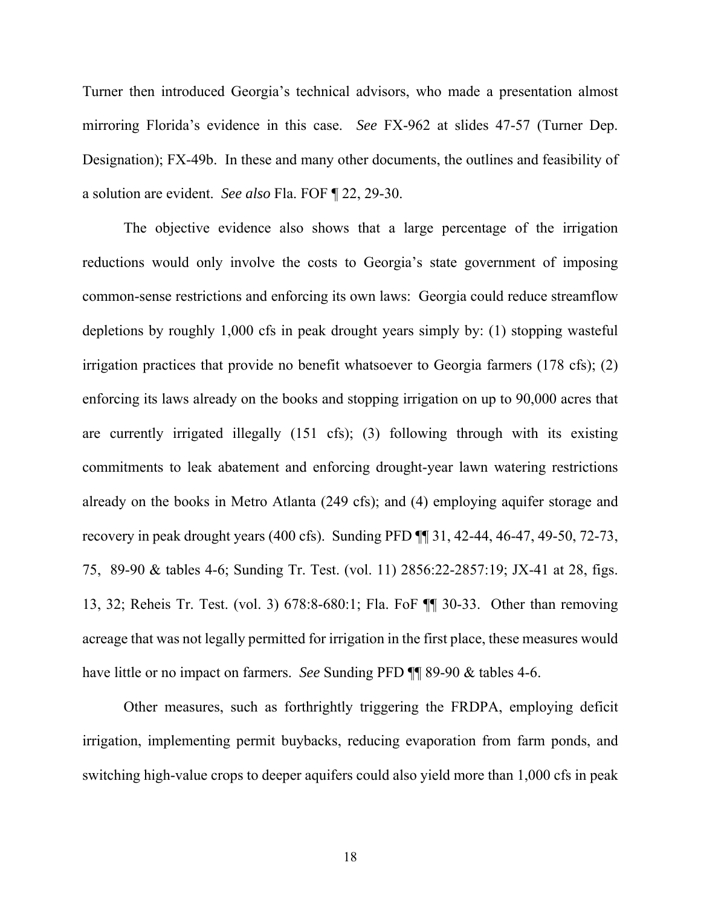Turner then introduced Georgia's technical advisors, who made a presentation almost mirroring Florida's evidence in this case. *See* FX-962 at slides 47-57 (Turner Dep. Designation); FX-49b. In these and many other documents, the outlines and feasibility of a solution are evident. *See also* Fla. FOF ¶ 22, 29-30.

The objective evidence also shows that a large percentage of the irrigation reductions would only involve the costs to Georgia's state government of imposing common-sense restrictions and enforcing its own laws: Georgia could reduce streamflow depletions by roughly 1,000 cfs in peak drought years simply by: (1) stopping wasteful irrigation practices that provide no benefit whatsoever to Georgia farmers (178 cfs); (2) enforcing its laws already on the books and stopping irrigation on up to 90,000 acres that are currently irrigated illegally (151 cfs); (3) following through with its existing commitments to leak abatement and enforcing drought-year lawn watering restrictions already on the books in Metro Atlanta (249 cfs); and (4) employing aquifer storage and recovery in peak drought years (400 cfs). Sunding PFD ¶¶ 31, 42-44, 46-47, 49-50, 72-73, 75, 89-90 & tables 4-6; Sunding Tr. Test. (vol. 11) 2856:22-2857:19; JX-41 at 28, figs. 13, 32; Reheis Tr. Test. (vol. 3) 678:8-680:1; Fla. FoF ¶¶ 30-33. Other than removing acreage that was not legally permitted for irrigation in the first place, these measures would have little or no impact on farmers. *See* Sunding PFD ¶¶ 89-90 & tables 4-6.

Other measures, such as forthrightly triggering the FRDPA, employing deficit irrigation, implementing permit buybacks, reducing evaporation from farm ponds, and switching high-value crops to deeper aquifers could also yield more than 1,000 cfs in peak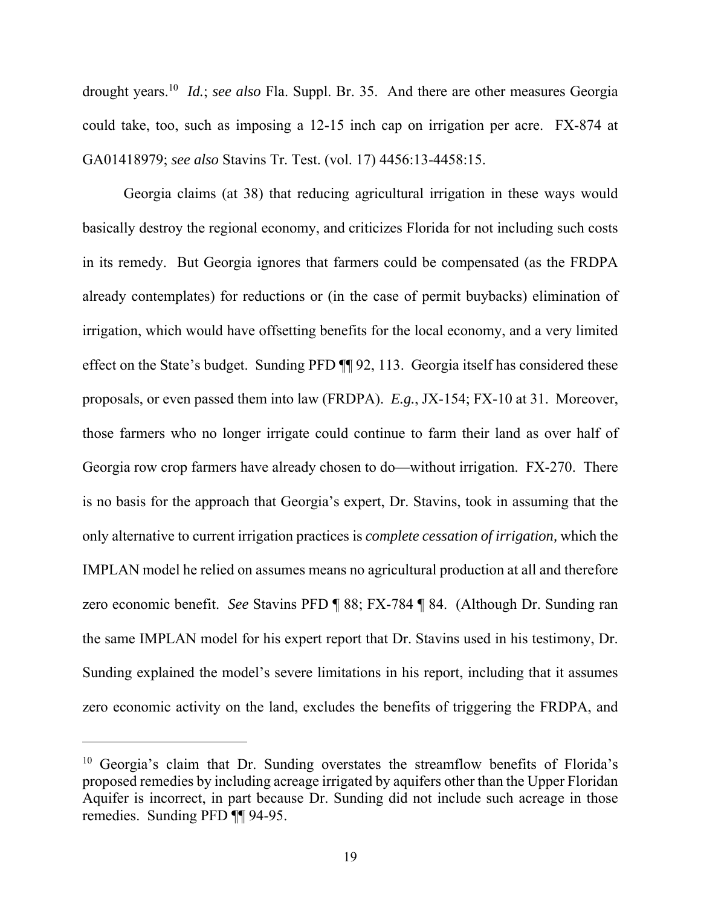drought years.10 *Id.*; *see also* Fla. Suppl. Br. 35. And there are other measures Georgia could take, too, such as imposing a 12-15 inch cap on irrigation per acre. FX-874 at GA01418979; *see also* Stavins Tr. Test. (vol. 17) 4456:13-4458:15.

Georgia claims (at 38) that reducing agricultural irrigation in these ways would basically destroy the regional economy, and criticizes Florida for not including such costs in its remedy. But Georgia ignores that farmers could be compensated (as the FRDPA already contemplates) for reductions or (in the case of permit buybacks) elimination of irrigation, which would have offsetting benefits for the local economy, and a very limited effect on the State's budget. Sunding PFD ¶¶ 92, 113. Georgia itself has considered these proposals, or even passed them into law (FRDPA). *E.g.*, JX-154; FX-10 at 31. Moreover, those farmers who no longer irrigate could continue to farm their land as over half of Georgia row crop farmers have already chosen to do—without irrigation. FX-270. There is no basis for the approach that Georgia's expert, Dr. Stavins, took in assuming that the only alternative to current irrigation practices is *complete cessation of irrigation,* which the IMPLAN model he relied on assumes means no agricultural production at all and therefore zero economic benefit. *See* Stavins PFD ¶ 88; FX-784 ¶ 84. (Although Dr. Sunding ran the same IMPLAN model for his expert report that Dr. Stavins used in his testimony, Dr. Sunding explained the model's severe limitations in his report, including that it assumes zero economic activity on the land, excludes the benefits of triggering the FRDPA, and

<sup>&</sup>lt;sup>10</sup> Georgia's claim that Dr. Sunding overstates the streamflow benefits of Florida's proposed remedies by including acreage irrigated by aquifers other than the Upper Floridan Aquifer is incorrect, in part because Dr. Sunding did not include such acreage in those remedies. Sunding PFD ¶¶ 94-95.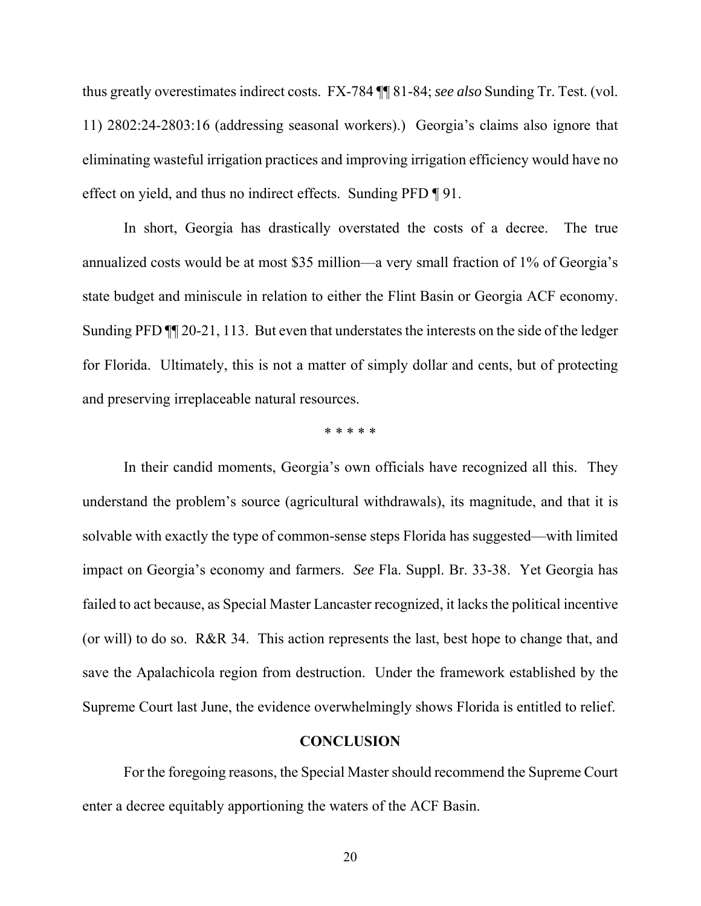thus greatly overestimates indirect costs. FX-784 ¶¶ 81-84; *see also* Sunding Tr. Test. (vol. 11) 2802:24-2803:16 (addressing seasonal workers).) Georgia's claims also ignore that eliminating wasteful irrigation practices and improving irrigation efficiency would have no effect on yield, and thus no indirect effects. Sunding PFD ¶ 91.

In short, Georgia has drastically overstated the costs of a decree. The true annualized costs would be at most \$35 million—a very small fraction of 1% of Georgia's state budget and miniscule in relation to either the Flint Basin or Georgia ACF economy. Sunding PFD ¶¶ 20-21, 113. But even that understates the interests on the side of the ledger for Florida. Ultimately, this is not a matter of simply dollar and cents, but of protecting and preserving irreplaceable natural resources.

\* \* \* \* \*

In their candid moments, Georgia's own officials have recognized all this. They understand the problem's source (agricultural withdrawals), its magnitude, and that it is solvable with exactly the type of common-sense steps Florida has suggested—with limited impact on Georgia's economy and farmers. *See* Fla. Suppl. Br. 33-38. Yet Georgia has failed to act because, as Special Master Lancaster recognized, it lacks the political incentive (or will) to do so. R&R 34. This action represents the last, best hope to change that, and save the Apalachicola region from destruction. Under the framework established by the Supreme Court last June, the evidence overwhelmingly shows Florida is entitled to relief.

### **CONCLUSION**

For the foregoing reasons, the Special Master should recommend the Supreme Court enter a decree equitably apportioning the waters of the ACF Basin.